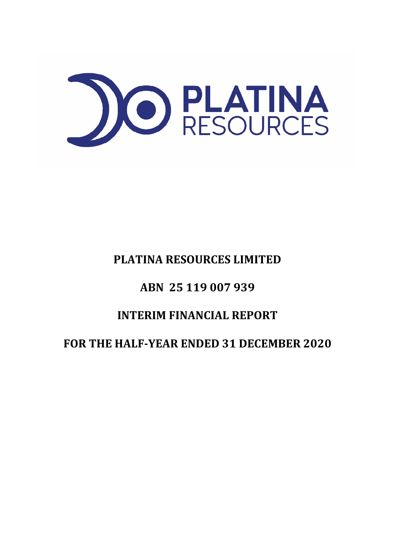

# **PLATINA RESOURCES LIMITED**

# **ABN 25 119 007 939**

# **INTERIM FINANCIAL REPORT**

# **FOR THE HALF-YEAR ENDED 31 DECEMBER 2020**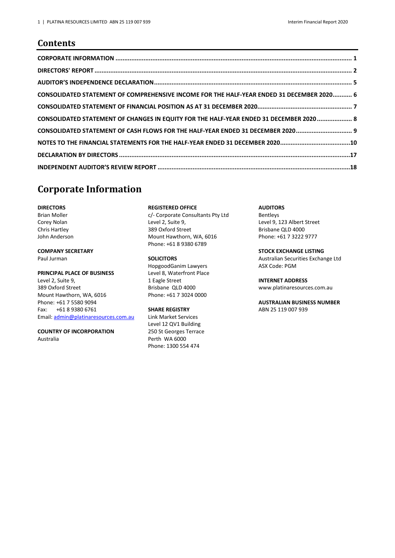### **Contents**

| CONSOLIDATED STATEMENT OF COMPREHENSIVE INCOME FOR THE HALF-YEAR ENDED 31 DECEMBER 2020 6 |  |
|-------------------------------------------------------------------------------------------|--|
|                                                                                           |  |
| CONSOLIDATED STATEMENT OF CHANGES IN EQUITY FOR THE HALF-YEAR ENDED 31 DECEMBER 2020  8   |  |
| CONSOLIDATED STATEMENT OF CASH FLOWS FOR THE HALF-YEAR ENDED 31 DECEMBER 2020 9           |  |
|                                                                                           |  |
|                                                                                           |  |
|                                                                                           |  |

### <span id="page-1-0"></span>**Corporate Information**

**DIRECTORS** Brian Moller Corey Nolan Chris Hartley John Anderson

### **COMPANY SECRETARY**

Paul Jurman

#### **PRINCIPAL PLACE OF BUSINESS**

Level 2, Suite 9, 389 Oxford Street Mount Hawthorn, WA, 6016 Phone: +61 7 5580 9094 Fax: +61 8 9380 6761 Email[: admin@platinaresources.com.au](mailto:admin@platinaresources.com.au)

**COUNTRY OF INCORPORATION**  Australia

#### **REGISTERED OFFICE**

c/- Corporate Consultants Pty Ltd Level 2, Suite 9, 389 Oxford Street Mount Hawthorn, WA, 6016 Phone: +61 8 9380 6789

#### **SOLICITORS**

HopgoodGanim Lawyers Level 8, Waterfront Place 1 Eagle Street Brisbane QLD 4000 Phone: +61 7 3024 0000

#### **SHARE REGISTRY**

Link Market Services Level 12 QV1 Building 250 St Georges Terrace Perth WA 6000 Phone: 1300 554 474

**AUDITORS** 

Bentleys Level 9, 123 Albert Street Brisbane QLD 4000 Phone: +61 7 3222 9777

**STOCK EXCHANGE LISTING** 

Australian Securities Exchange Ltd ASX Code: PGM

#### **INTERNET ADDRESS**

[www.platinaresources.com.au](http://www.platinaresources.com.au/)

#### **AUSTRALIAN BUSINESS NUMBER**  ABN 25 119 007 939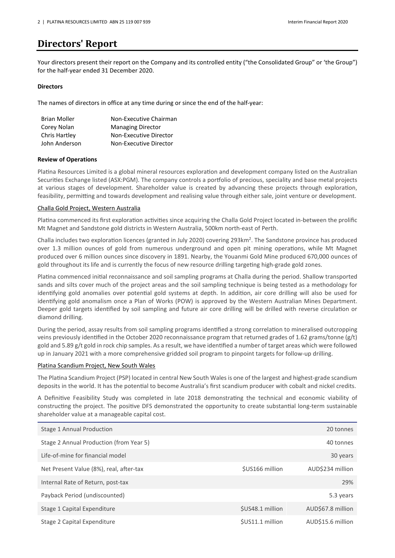## <span id="page-2-0"></span>**Directors' Report**

Your directors present their report on the Company and its controlled entity ("the Consolidated Group" or 'the Group") for the half-year ended 31 December 2020.

#### **Directors**

The names of directors in office at any time during or since the end of the half-year:

| <b>Brian Moller</b>  | Non-Executive Chairman   |
|----------------------|--------------------------|
| Corey Nolan          | <b>Managing Director</b> |
| <b>Chris Hartley</b> | Non-Executive Director   |
| John Anderson        | Non-Executive Director   |

#### **Review of Operations**

Platina Resources Limited is a global mineral resources exploration and development company listed on the Australian Securities Exchange listed (ASX:PGM). The company controls a portfolio of precious, speciality and base metal projects at various stages of development. Shareholder value is created by advancing these projects through exploration, feasibility, permitting and towards development and realising value through either sale, joint venture or development.

#### Challa Gold Project, Western Australia

Platina commenced its first exploration activities since acquiring the Challa Gold Project located in-between the prolific Mt Magnet and Sandstone gold districts in Western Australia, 500km north-east of Perth.

Challa includes two exploration licences (granted in July 2020) covering 293km<sup>2</sup>. The Sandstone province has produced over 1.3 million ounces of gold from numerous underground and open pit mining operations, while Mt Magnet produced over 6 million ounces since discovery in 1891. Nearby, the Youanmi Gold Mine produced 670,000 ounces of gold throughout its life and is currently the focus of new resource drilling targeting high-grade gold zones.

Platina commenced initial reconnaissance and soil sampling programs at Challa during the period. Shallow transported sands and silts cover much of the project areas and the soil sampling technique is being tested as a methodology for identifying gold anomalies over potential gold systems at depth. In addition, air core drilling will also be used for idenfying gold anomalism once a Plan of Works (POW) is approved by the Western Australian Mines Department. Deeper gold targets identified by soil sampling and future air core drilling will be drilled with reverse circulation or diamond drilling.

During the period, assay results from soil sampling programs identified a strong correlation to mineralised outcropping veins previously idenfied in the October 2020 reconnaissance program that returned grades of 1.62 grams/tonne (g/t) gold and 5.89 g/t gold in rock chip samples. As a result, we have idenfied a number of target areas which were followed up in January 2021 with a more comprehensive gridded soil program to pinpoint targets for follow-up drilling.

#### Platina Scandium Project, New South Wales

The Platina Scandium Project (PSP) located in central New South Wales is one of the largest and highest-grade scandium deposits in the world. It has the potential to become Australia's first scandium producer with cobalt and nickel credits.

A Definitive Feasibility Study was completed in late 2018 demonstrating the technical and economic viability of constructing the project. The positive DFS demonstrated the opportunity to create substantial long-term sustainable shareholder value at a manageable capital cost.

| Stage 1 Annual Production               |                  | 20 tonnes         |
|-----------------------------------------|------------------|-------------------|
| Stage 2 Annual Production (from Year 5) |                  | 40 tonnes         |
| Life-of-mine for financial model        |                  | 30 years          |
| Net Present Value (8%), real, after-tax | \$US166 million  | AUD\$234 million  |
| Internal Rate of Return, post-tax       |                  | 29%               |
| Payback Period (undiscounted)           |                  | 5.3 years         |
| Stage 1 Capital Expenditure             | \$US48.1 million | AUD\$67.8 million |
| Stage 2 Capital Expenditure             | \$US11.1 million | AUD\$15.6 million |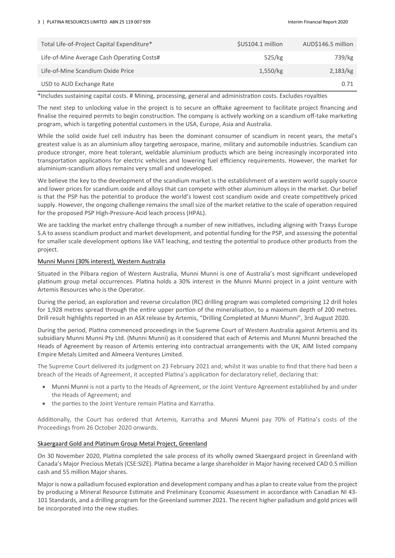| Total Life-of-Project Capital Expenditure* | \$US104.1 million | AUD\$146.5 million |
|--------------------------------------------|-------------------|--------------------|
| Life-of-Mine Average Cash Operating Costs# | 525/kg            | 739/kg             |
| Life-of-Mine Scandium Oxide Price          | 1,550/kg          | 2,183/kg           |
| USD to AUD Exchange Rate                   |                   | 0.71               |

\*Includes sustaining capital costs. # Mining, processing, general and administration costs. Excludes royalties

The next step to unlocking value in the project is to secure an offtake agreement to facilitate project financing and finalise the required permits to begin construction. The company is actively working on a scandium off-take marketing program, which is targeting potential customers in the USA, Europe, Asia and Australia.

While the solid oxide fuel cell industry has been the dominant consumer of scandium in recent years, the metal's greatest value is as an aluminium alloy targeting aerospace, marine, military and automobile industries. Scandium can produce stronger, more heat tolerant, weldable aluminium products which are being increasingly incorporated into transportation applications for electric vehicles and lowering fuel efficiency requirements. However, the market for aluminium-scandium alloys remains very small and undeveloped.

We believe the key to the development of the scandium market is the establishment of a western world supply source and lower prices for scandium oxide and alloys that can compete with other aluminium alloys in the market. Our belief is that the PSP has the potential to produce the world's lowest cost scandium oxide and create competitively priced supply. However, the ongoing challenge remains the small size of the market relative to the scale of operation required for the proposed PSP High-Pressure-Acid leach process (HPAL).

We are tackling the market entry challenge through a number of new initiatives, including aligning with Traxys Europe S.A to assess scandium product and market development, and potential funding for the PSP, and assessing the potential for smaller scale development options like VAT leaching, and testing the potential to produce other products from the project.

#### Munni Munni (30% interest), Western Australia

Situated in the Pilbara region of Western Australia, Munni Munni is one of Australia's most significant undeveloped platinum group metal occurrences. Platina holds a 30% interest in the Munni Munni project in a joint venture with Artemis Resources who is the Operator.

During the period, an exploration and reverse circulation (RC) drilling program was completed comprising 12 drill holes for 1,928 metres spread through the entire upper portion of the mineralisation, to a maximum depth of 200 metres. Drill result highlights reported in an ASX release by Artemis, "Drilling Completed at Munni Munni", 3rd August 2020.

During the period, Platina commenced proceedings in the Supreme Court of Western Australia against Artemis and its subsidiary Munni Munni Pty Ltd. (Munni Munni) as it considered that each of Artemis and Munni Munni breached the Heads of Agreement by reason of Artemis entering into contractual arrangements with the UK, AIM listed company Empire Metals Limited and Almeera Ventures Limited.

The Supreme Court delivered its judgment on 23 February 2021 and, whilst it was unable to find that there had been a breach of the Heads of Agreement, it accepted Platina's application for declaratory relief, declaring that:

- Munni Munni is not a party to the Heads of Agreement, or the Joint Venture Agreement established by and under the Heads of Agreement; and
- the parties to the Joint Venture remain Platina and Karratha.

Additionally, the Court has ordered that Artemis, Karratha and Munni Munni pay 70% of Platina's costs of the Proceedings from 26 October 2020 onwards.

#### Skaergaard Gold and Platinum Group Metal Project, Greenland

On 30 November 2020, Platina completed the sale process of its wholly owned Skaergaard project in Greenland with Canada's Major Precious Metals (CSE:SIZE). Platina became a large shareholder in Major having received CAD 0.5 million cash and 55 million Major shares.

Major is now a palladium focused exploration and development company and has a plan to create value from the project by producing a Mineral Resource Estimate and Preliminary Economic Assessment in accordance with Canadian NI 43-101 Standards, and a drilling program for the Greenland summer 2021. The recent higher palladium and gold prices will be incorporated into the new studies.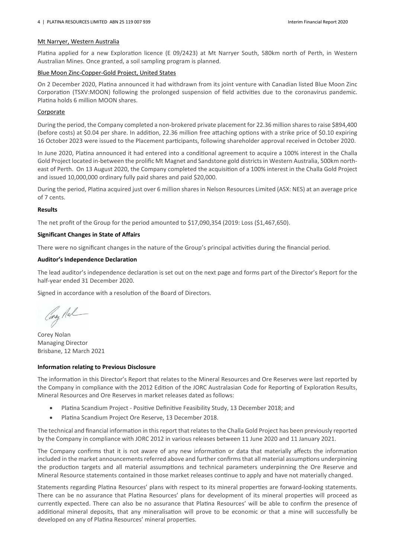#### Mt Narryer, Western Australia

Platina applied for a new Exploration licence (E 09/2423) at Mt Narryer South, 580km north of Perth, in Western Australian Mines. Once granted, a soil sampling program is planned.

#### Blue Moon Zinc-Copper-Gold Project, United States

On 2 December 2020, Platina announced it had withdrawn from its joint venture with Canadian listed Blue Moon Zinc Corporation (TSXV:MOON) following the prolonged suspension of field activities due to the coronavirus pandemic. Platina holds 6 million MOON shares.

#### Corporate

During the period, the Company completed a non-brokered private placement for 22.36 million shares to raise \$894,400 (before costs) at \$0.04 per share. In addition, 22.36 million free attaching options with a strike price of \$0.10 expiring 16 October 2023 were issued to the Placement parcipants, following shareholder approval received in October 2020.

In June 2020, Platina announced it had entered into a conditional agreement to acquire a 100% interest in the Challa Gold Project located in-between the prolific Mt Magnet and Sandstone gold districtsin Western Australia, 500km northeast of Perth. On 13 August 2020, the Company completed the acquisition of a 100% interest in the Challa Gold Project and issued 10,000,000 ordinary fully paid shares and paid \$20,000.

During the period, Platina acquired just over 6 million shares in Nelson Resources Limited (ASX: NES) at an average price of 7 cents.

#### **Results**

The net profit of the Group for the period amounted to \$17,090,354 (2019: Loss (\$1,467,650).

#### **Significant Changes in State of Affairs**

There were no significant changes in the nature of the Group's principal activities during the financial period.

#### **Auditor's Independence Declaration**

The lead auditor's independence declaration is set out on the next page and forms part of the Director's Report for the half-year ended 31 December 2020.

Signed in accordance with a resolution of the Board of Directors.

Caray Ral

Corey Nolan Managing Director Brisbane, 12 March 2021

#### **Information relating to Previous Disclosure**

The information in this Director's Report that relates to the Mineral Resources and Ore Reserves were last reported by the Company in compliance with the 2012 Edition of the JORC Australasian Code for Reporting of Exploration Results, Mineral Resources and Ore Reserves in market releases dated as follows:

- Platina Scandium Project Positive Definitive Feasibility Study, 13 December 2018; and
- Platina Scandium Project Ore Reserve, 13 December 2018.

The technical and financial information in this report that relates to the Challa Gold Project has been previously reported by the Company in compliance with JORC 2012 in various releases between 11 June 2020 and 11 January 2021.

The Company confirms that it is not aware of any new information or data that materially affects the information included in the market announcements referred above and further confirms that all material assumptions underpinning the production targets and all material assumptions and technical parameters underpinning the Ore Reserve and Mineral Resource statements contained in those market releases continue to apply and have not materially changed.

Statements regarding Platina Resources' plans with respect to its mineral properties are forward-looking statements. There can be no assurance that Platina Resources' plans for development of its mineral properties will proceed as currently expected. There can also be no assurance that Platina Resources' will be able to confirm the presence of additional mineral deposits, that any mineralisation will prove to be economic or that a mine will successfully be developed on any of Platina Resources' mineral properties.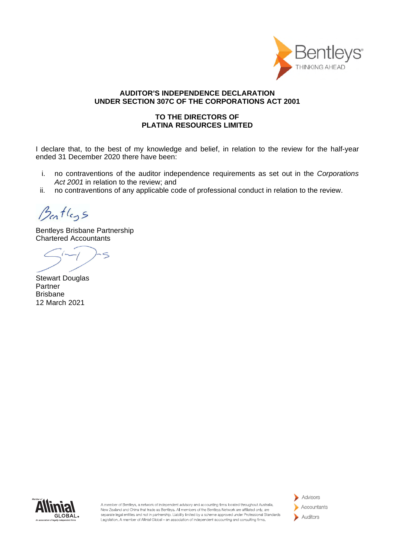

### **AUDITOR'S INDEPENDENCE DECLARATION UNDER SECTION 307C OF THE CORPORATIONS ACT 2001**

### **TO THE DIRECTORS OF PLATINA RESOURCES LIMITED**

I declare that, to the best of my knowledge and belief, in relation to the review for the half-year ended 31 December 2020 there have been:

- i. no contraventions of the auditor independence requirements as set out in the *Corporations Act 2001* in relation to the review; and
- ii. no contraventions of any applicable code of professional conduct in relation to the review.

Bentleys

Bentleys Brisbane Partnership Chartered Accountants

 $\leq$ 

Stewart Douglas Partner Brisbane 12 March 2021



A member of Bentleys, a network of independent advisory and accounting firms located throughout Australia. New Zealand and China that trade as Bentleys. All members of the Bentleys Network are affiliated only, are separate legal entities and not in partnership. Liability limited by a scheme approved under Professional Standards Legislation. A member of Allinial Global - an association of independent accounting and consulting firms.

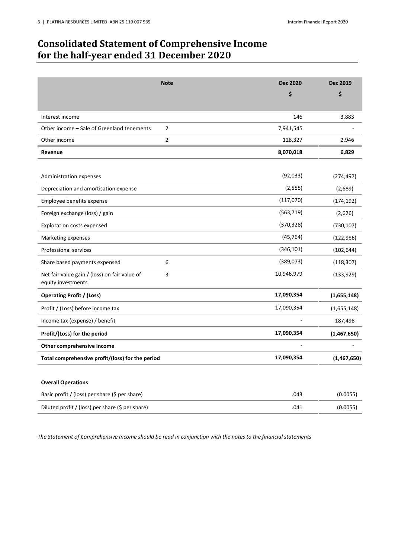## <span id="page-6-0"></span>**Consolidated Statement of Comprehensive Income for the half-year ended 31 December 2020**

|                                                                     | <b>Note</b>    | <b>Dec 2020</b> | <b>Dec 2019</b> |
|---------------------------------------------------------------------|----------------|-----------------|-----------------|
|                                                                     |                | \$              | \$              |
|                                                                     |                |                 |                 |
| Interest income                                                     |                | 146             | 3,883           |
| Other income - Sale of Greenland tenements                          | $\overline{2}$ | 7,941,545       |                 |
| Other income                                                        | $\overline{2}$ | 128,327         | 2,946           |
| Revenue                                                             |                | 8,070,018       | 6,829           |
|                                                                     |                |                 |                 |
| <b>Administration expenses</b>                                      |                | (92, 033)       | (274, 497)      |
| Depreciation and amortisation expense                               |                | (2, 555)        | (2,689)         |
| Employee benefits expense                                           |                | (117,070)       | (174, 192)      |
| Foreign exchange (loss) / gain                                      |                | (563, 719)      | (2,626)         |
| <b>Exploration costs expensed</b>                                   |                | (370, 328)      | (730, 107)      |
| Marketing expenses                                                  |                | (45, 764)       | (122, 986)      |
| <b>Professional services</b>                                        |                | (346, 101)      | (102, 644)      |
| Share based payments expensed                                       | 6              | (389, 073)      | (118, 307)      |
| Net fair value gain / (loss) on fair value of<br>equity investments | 3              | 10,946,979      | (133, 929)      |
| <b>Operating Profit / (Loss)</b>                                    |                | 17,090,354      | (1,655,148)     |
| Profit / (Loss) before income tax                                   |                | 17,090,354      | (1,655,148)     |
| Income tax (expense) / benefit                                      |                |                 | 187,498         |
| Profit/(Loss) for the period                                        |                | 17,090,354      | (1,467,650)     |
| Other comprehensive income                                          |                |                 |                 |
| Total comprehensive profit/(loss) for the period                    |                | 17,090,354      | (1,467,650)     |
|                                                                     |                |                 |                 |
| <b>Overall Operations</b>                                           |                |                 |                 |
| Basic profit / (loss) per share (\$ per share)                      |                | .043            | (0.0055)        |
| Diluted profit / (loss) per share (\$ per share)                    |                | .041            | (0.0055)        |

*The Statement of Comprehensive Income should be read in conjunction with the notes to the financial statements*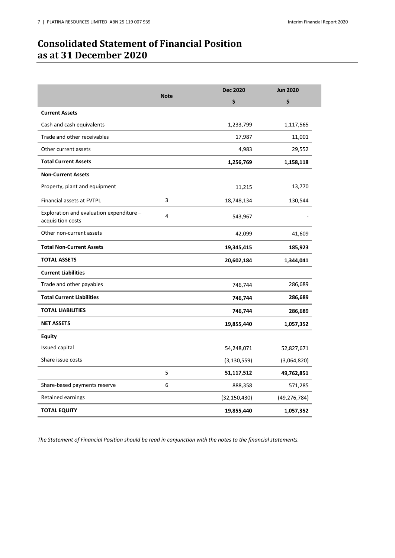## <span id="page-7-0"></span>**Consolidated Statement of Financial Position as at 31 December 2020**

|                                                               |             | <b>Dec 2020</b> | <b>Jun 2020</b> |
|---------------------------------------------------------------|-------------|-----------------|-----------------|
|                                                               | <b>Note</b> | \$              | \$              |
| <b>Current Assets</b>                                         |             |                 |                 |
| Cash and cash equivalents                                     |             | 1,233,799       | 1,117,565       |
| Trade and other receivables                                   |             | 17,987          | 11,001          |
| Other current assets                                          |             | 4,983           | 29,552          |
| <b>Total Current Assets</b>                                   |             | 1,256,769       | 1,158,118       |
| <b>Non-Current Assets</b>                                     |             |                 |                 |
| Property, plant and equipment                                 |             | 11,215          | 13,770          |
| Financial assets at FVTPL                                     | 3           | 18,748,134      | 130,544         |
| Exploration and evaluation expenditure -<br>acquisition costs | 4           | 543,967         |                 |
| Other non-current assets                                      |             | 42,099          | 41,609          |
| <b>Total Non-Current Assets</b>                               |             | 19,345,415      | 185,923         |
| <b>TOTAL ASSETS</b>                                           |             | 20,602,184      | 1,344,041       |
| <b>Current Liabilities</b>                                    |             |                 |                 |
| Trade and other payables                                      |             | 746,744         | 286,689         |
| <b>Total Current Liabilities</b>                              |             | 746,744         | 286,689         |
| <b>TOTAL LIABILITIES</b>                                      |             | 746,744         | 286,689         |
| <b>NET ASSETS</b>                                             |             | 19,855,440      | 1,057,352       |
| <b>Equity</b>                                                 |             |                 |                 |
| Issued capital                                                |             | 54,248,071      | 52,827,671      |
| Share issue costs                                             |             | (3, 130, 559)   | (3,064,820)     |
|                                                               | 5           | 51,117,512      | 49,762,851      |
| Share-based payments reserve                                  | 6           | 888,358         | 571,285         |
| Retained earnings                                             |             | (32, 150, 430)  | (49, 276, 784)  |
| <b>TOTAL EQUITY</b>                                           |             | 19,855,440      | 1,057,352       |

*The Statement of Financial Position should be read in conjunction with the notes to the financial statements.*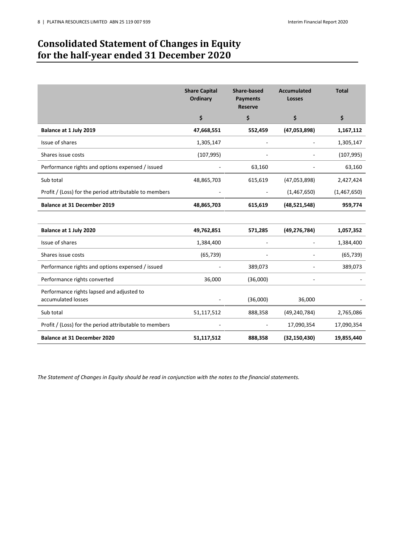## <span id="page-8-0"></span>**Consolidated Statement of Changes in Equity for the half-year ended 31 December 2020**

|                                                                 | <b>Share Capital</b><br><b>Ordinary</b> | Share-based<br><b>Payments</b><br><b>Reserve</b> | <b>Accumulated</b><br><b>Losses</b> | <b>Total</b> |
|-----------------------------------------------------------------|-----------------------------------------|--------------------------------------------------|-------------------------------------|--------------|
|                                                                 | \$                                      | \$                                               | \$                                  | \$           |
| Balance at 1 July 2019                                          | 47,668,551                              | 552,459                                          | (47,053,898)                        | 1,167,112    |
| Issue of shares                                                 | 1,305,147                               |                                                  |                                     | 1,305,147    |
| Shares issue costs                                              | (107, 995)                              |                                                  |                                     | (107, 995)   |
| Performance rights and options expensed / issued                |                                         | 63,160                                           |                                     | 63,160       |
| Sub total                                                       | 48,865,703                              | 615,619                                          | (47,053,898)                        | 2,427,424    |
| Profit / (Loss) for the period attributable to members          |                                         |                                                  | (1,467,650)                         | (1,467,650)  |
| <b>Balance at 31 December 2019</b>                              | 48,865,703                              | 615,619                                          | (48,521,548)                        | 959,774      |
|                                                                 |                                         |                                                  |                                     |              |
| Balance at 1 July 2020                                          | 49,762,851                              | 571,285                                          | (49, 276, 784)                      | 1,057,352    |
| Issue of shares                                                 | 1,384,400                               |                                                  |                                     | 1,384,400    |
| Shares issue costs                                              | (65, 739)                               |                                                  |                                     | (65, 739)    |
| Performance rights and options expensed / issued                |                                         | 389,073                                          |                                     | 389,073      |
| Performance rights converted                                    | 36,000                                  | (36,000)                                         |                                     |              |
| Performance rights lapsed and adjusted to<br>accumulated losses |                                         | (36,000)                                         | 36,000                              |              |
| Sub total                                                       | 51,117,512                              | 888,358                                          | (49, 240, 784)                      | 2,765,086    |
| Profit / (Loss) for the period attributable to members          |                                         |                                                  | 17,090,354                          | 17,090,354   |
| <b>Balance at 31 December 2020</b>                              | 51,117,512                              | 888,358                                          | (32, 150, 430)                      | 19,855,440   |

*The Statement of Changes in Equity should be read in conjunction with the notes to the financial statements.*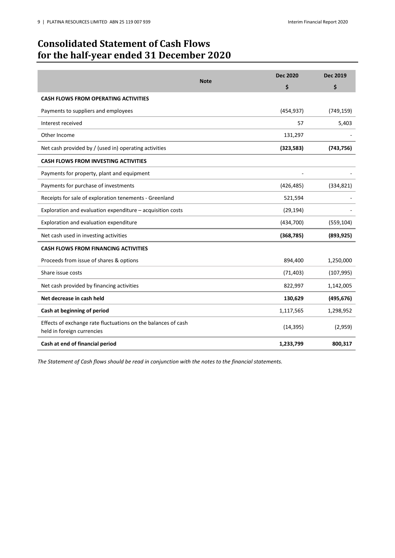## <span id="page-9-0"></span>**Consolidated Statement of Cash Flows for the half-year ended 31 December 2020**

|                                                                                             |             | <b>Dec 2020</b> | Dec 2019   |
|---------------------------------------------------------------------------------------------|-------------|-----------------|------------|
|                                                                                             | <b>Note</b> | \$              | \$         |
| <b>CASH FLOWS FROM OPERATING ACTIVITIES</b>                                                 |             |                 |            |
| Payments to suppliers and employees                                                         |             | (454, 937)      | (749, 159) |
| Interest received                                                                           |             | 57              | 5,403      |
| Other Income                                                                                |             | 131,297         |            |
| Net cash provided by / (used in) operating activities                                       |             | (323,583)       | (743, 756) |
| <b>CASH FLOWS FROM INVESTING ACTIVITIES</b>                                                 |             |                 |            |
| Payments for property, plant and equipment                                                  |             |                 |            |
| Payments for purchase of investments                                                        |             | (426, 485)      | (334, 821) |
| Receipts for sale of exploration tenements - Greenland                                      |             | 521,594         |            |
| Exploration and evaluation expenditure - acquisition costs                                  |             | (29, 194)       |            |
| Exploration and evaluation expenditure                                                      |             | (434, 700)      | (559, 104) |
| Net cash used in investing activities                                                       |             | (368, 785)      | (893, 925) |
| <b>CASH FLOWS FROM FINANCING ACTIVITIES</b>                                                 |             |                 |            |
| Proceeds from issue of shares & options                                                     |             | 894,400         | 1,250,000  |
| Share issue costs                                                                           |             | (71, 403)       | (107, 995) |
| Net cash provided by financing activities                                                   |             | 822,997         | 1,142,005  |
| Net decrease in cash held                                                                   |             | 130,629         | (495, 676) |
| Cash at beginning of period                                                                 |             | 1,117,565       | 1,298,952  |
| Effects of exchange rate fluctuations on the balances of cash<br>held in foreign currencies |             | (14, 395)       | (2,959)    |
| Cash at end of financial period                                                             |             | 1,233,799       | 800,317    |

*The Statement of Cash flows should be read in conjunction with the notes to the financial statements.*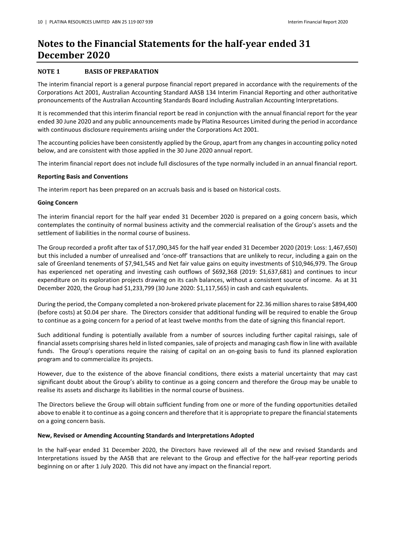## <span id="page-10-0"></span>**Notes to the Financial Statements for the half-year ended 31 December 2020**

#### **NOTE 1 BASIS OF PREPARATION**

The interim financial report is a general purpose financial report prepared in accordance with the requirements of the Corporations Act 2001, Australian Accounting Standard AASB 134 Interim Financial Reporting and other authoritative pronouncements of the Australian Accounting Standards Board including Australian Accounting Interpretations.

It is recommended that this interim financial report be read in conjunction with the annual financial report for the year ended 30 June 2020 and any public announcements made by Platina Resources Limited during the period in accordance with continuous disclosure requirements arising under the Corporations Act 2001.

The accounting policies have been consistently applied by the Group, apart from any changes in accounting policy noted below, and are consistent with those applied in the 30 June 2020 annual report.

The interim financial report does not include full disclosures of the type normally included in an annual financial report.

#### **Reporting Basis and Conventions**

The interim report has been prepared on an accruals basis and is based on historical costs.

#### **Going Concern**

The interim financial report for the half year ended 31 December 2020 is prepared on a going concern basis, which contemplates the continuity of normal business activity and the commercial realisation of the Group's assets and the settlement of liabilities in the normal course of business.

The Group recorded a profit after tax of \$17,090,345 for the half year ended 31 December 2020 (2019: Loss: 1,467,650) but this included a number of unrealised and 'once-off' transactions that are unlikely to recur, including a gain on the sale of Greenland tenements of \$7,941,545 and Net fair value gains on equity investments of \$10,946,979. The Group has experienced net operating and investing cash outflows of \$692,368 (2019: \$1,637,681) and continues to incur expenditure on its exploration projects drawing on its cash balances, without a consistent source of income. As at 31 December 2020, the Group had \$1,233,799 (30 June 2020: \$1,117,565) in cash and cash equivalents.

During the period, the Company completed a non-brokered private placement for 22.36 million shares to raise \$894,400 (before costs) at \$0.04 per share. The Directors consider that additional funding will be required to enable the Group to continue as a going concern for a period of at least twelve months from the date of signing this financial report.

Such additional funding is potentially available from a number of sources including further capital raisings, sale of financial assets comprising shares held in listed companies, sale of projects and managing cash flow in line with available funds. The Group's operations require the raising of capital on an on-going basis to fund its planned exploration program and to commercialize its projects.

However, due to the existence of the above financial conditions, there exists a material uncertainty that may cast significant doubt about the Group's ability to continue as a going concern and therefore the Group may be unable to realise its assets and discharge its liabilities in the normal course of business.

The Directors believe the Group will obtain sufficient funding from one or more of the funding opportunities detailed above to enable it to continue as a going concern and therefore that it is appropriate to prepare the financial statements on a going concern basis.

#### **New, Revised or Amending Accounting Standards and Interpretations Adopted**

In the half-year ended 31 December 2020, the Directors have reviewed all of the new and revised Standards and Interpretations issued by the AASB that are relevant to the Group and effective for the half-year reporting periods beginning on or after 1 July 2020. This did not have any impact on the financial report.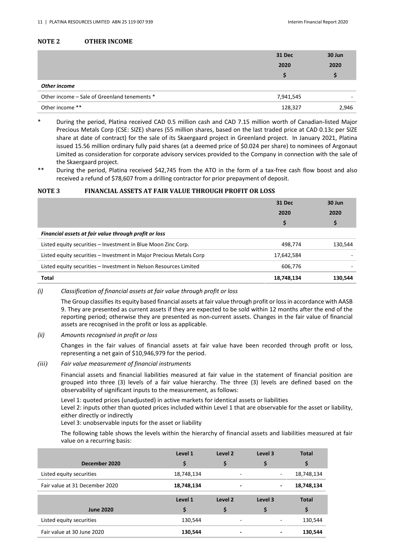#### **NOTE 2 OTHER INCOME**

|                                              | 31 Dec<br>2020 | 30 Jun<br>2020 |
|----------------------------------------------|----------------|----------------|
|                                              | S              |                |
| Other income                                 |                |                |
| Other income – Sale of Greenland tenements * | 7,941,545      |                |
| Other income **                              | 128,327        | 2,946          |

During the period, Platina received CAD 0.5 million cash and CAD 7.15 million worth of Canadian-listed Major Precious Metals Corp (CSE: SIZE) shares (55 million shares, based on the last traded price at CAD 0.13c per SIZE share at date of contract) for the sale of its Skaergaard project in Greenland project. In January 2021, Platina issued 15.56 million ordinary fully paid shares (at a deemed price of \$0.024 per share) to nominees of Argonaut Limited as consideration for corporate advisory services provided to the Company in connection with the sale of the Skaergaard project.

During the period, Platina received \$42,745 from the ATO in the form of a tax-free cash flow boost and also received a refund of \$78,607 from a drilling contractor for prior prepayment of deposit.

#### **NOTE 3 FINANCIAL ASSETS AT FAIR VALUE THROUGH PROFIT OR LOSS**

|                                                                     | <b>31 Dec</b> | 30 Jun  |
|---------------------------------------------------------------------|---------------|---------|
|                                                                     | 2020          | 2020    |
|                                                                     | \$            | Ş       |
| Financial assets at fair value through profit or loss               |               |         |
| Listed equity securities - Investment in Blue Moon Zinc Corp.       | 498.774       | 130,544 |
| Listed equity securities – Investment in Major Precious Metals Corp | 17,642,584    |         |
| Listed equity securities – Investment in Nelson Resources Limited   | 606.776       |         |
| Total                                                               | 18,748,134    | 130.544 |

#### *(i) Classification of financial assets at fair value through profit or loss*

The Group classifies its equity based financial assets at fair value through profit or loss in accordance with AASB 9. They are presented as current assets if they are expected to be sold within 12 months after the end of the reporting period; otherwise they are presented as non-current assets. Changes in the fair value of financial assets are recognised in the profit or loss as applicable.

#### *(ii) Amounts recognised in profit or loss*

Changes in the fair values of financial assets at fair value have been recorded through profit or loss, representing a net gain of \$10,946,979 for the period.

*(iii) Fair value measurement of financial instruments*

Financial assets and financial liabilities measured at fair value in the statement of financial position are grouped into three (3) levels of a fair value hierarchy. The three (3) levels are defined based on the observability of significant inputs to the measurement, as follows:

Level 1: quoted prices (unadjusted) in active markets for identical assets or liabilities

Level 2: inputs other than quoted prices included within Level 1 that are observable for the asset or liability, either directly or indirectly

Level 3: unobservable inputs for the asset or liability

The following table shows the levels within the hierarchy of financial assets and liabilities measured at fair value on a recurring basis:

|                                | Level 1    | Level 2                  | Level 3                  | <b>Total</b> |
|--------------------------------|------------|--------------------------|--------------------------|--------------|
| December 2020                  | \$         | \$                       | \$                       |              |
| Listed equity securities       | 18,748,134 | $\overline{\phantom{a}}$ | ٠.                       | 18,748,134   |
| Fair value at 31 December 2020 | 18,748,134 | $\overline{\phantom{a}}$ | $\overline{\phantom{0}}$ | 18,748,134   |
|                                |            |                          |                          |              |
|                                | Level 1    | Level 2                  | Level 3                  | <b>Total</b> |
| <b>June 2020</b>               | \$         | \$                       | \$                       | \$           |
| Listed equity securities       | 130,544    | -                        | $\overline{\phantom{a}}$ | 130,544      |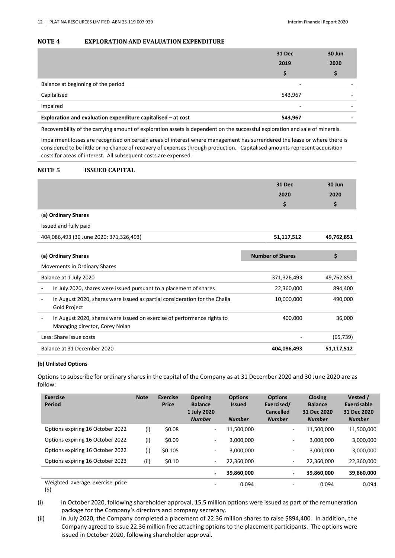#### **NOTE 4 EXPLORATION AND EVALUATION EXPENDITURE**

|                                                              | <b>31 Dec</b> | 30 Jun |
|--------------------------------------------------------------|---------------|--------|
|                                                              | 2019          | 2020   |
|                                                              | S             |        |
| Balance at beginning of the period                           | -             |        |
| Capitalised                                                  | 543,967       |        |
| Impaired                                                     | ۰             |        |
| Exploration and evaluation expenditure capitalised – at cost | 543,967       |        |

Recoverability of the carrying amount of exploration assets is dependent on the successful exploration and sale of minerals.

Impairment losses are recognised on certain areas of interest where management has surrendered the lease or where there is considered to be little or no chance of recovery of expenses through production. Capitalised amounts represent acquisition costs for areas of interest. All subsequent costs are expensed.

#### **NOTE 5 ISSUED CAPITAL**

|                     | 31 Dec | 30 Jun |
|---------------------|--------|--------|
|                     | 2020   | 2020   |
|                     |        |        |
| (a) Ordinary Shares |        |        |

| Issued and fully paid                   |            |            |
|-----------------------------------------|------------|------------|
| 404,086,493 (30 June 2020: 371,326,493) | 51,117,512 | 49.762.851 |

| (a) Ordinary Shares                                                                                       | <b>Number of Shares</b> | \$         |
|-----------------------------------------------------------------------------------------------------------|-------------------------|------------|
| Movements in Ordinary Shares                                                                              |                         |            |
| Balance at 1 July 2020                                                                                    | 371,326,493             | 49,762,851 |
| In July 2020, shares were issued pursuant to a placement of shares                                        | 22,360,000              | 894,400    |
| In August 2020, shares were issued as partial consideration for the Challa<br><b>Gold Project</b>         | 10,000,000              | 490,000    |
| In August 2020, shares were issued on exercise of performance rights to<br>Managing director, Corey Nolan | 400.000                 | 36.000     |
| Less: Share issue costs                                                                                   |                         | (65, 739)  |
| Balance at 31 December 2020                                                                               | 404.086.493             | 51,117,512 |

#### **(b) Unlisted Options**

Options to subscribe for ordinary shares in the capital of the Company as at 31 December 2020 and 30 June 2020 are as follow:

| Exercise<br><b>Period</b>        | <b>Note</b> | <b>Exercise</b><br><b>Price</b> | <b>Opening</b><br><b>Balance</b><br>1 July 2020<br><b>Number</b> | <b>Options</b><br><b>Issued</b><br><b>Number</b> | <b>Options</b><br>Exercised/<br><b>Cancelled</b><br><b>Number</b> | <b>Closing</b><br><b>Balance</b><br>31 Dec 2020<br><b>Number</b> | Vested /<br>Exercisable<br>31 Dec 2020<br><b>Number</b> |
|----------------------------------|-------------|---------------------------------|------------------------------------------------------------------|--------------------------------------------------|-------------------------------------------------------------------|------------------------------------------------------------------|---------------------------------------------------------|
| Options expiring 16 October 2022 | (i)         | \$0.08                          | $\sim$                                                           | 11,500,000                                       | $\overline{\phantom{0}}$                                          | 11,500,000                                                       | 11,500,000                                              |
| Options expiring 16 October 2022 | (i)         | \$0.09                          | $\sim$                                                           | 3,000,000                                        | ٠                                                                 | 3,000,000                                                        | 3,000,000                                               |
| Options expiring 16 October 2022 | (i)         | \$0.105                         | $\sim$                                                           | 3,000,000                                        | ۰.                                                                | 3,000,000                                                        | 3,000,000                                               |
| Options expiring 16 October 2023 | (i)         | \$0.10                          | $\sim$                                                           | 22,360,000                                       | ۰.                                                                | 22,360,000                                                       | 22,360,000                                              |
|                                  |             |                                 | $\overline{\phantom{a}}$                                         | 39,860,000                                       | -                                                                 | 39,860,000                                                       | 39,860,000                                              |
| Weighted average exercise price  |             |                                 | $\overline{\phantom{a}}$                                         | 0.094                                            |                                                                   | 0.094                                                            | 0.094                                                   |

<sup>(\$)</sup> 

<sup>(</sup>i) In October 2020, following shareholder approval, 15.5 million options were issued as part of the remuneration package for the Company's directors and company secretary.

<sup>(</sup>ii) In July 2020, the Company completed a placement of 22.36 million shares to raise \$894,400. In addition, the Company agreed to issue 22.36 million free attaching options to the placement participants. The options were issued in October 2020, following shareholder approval.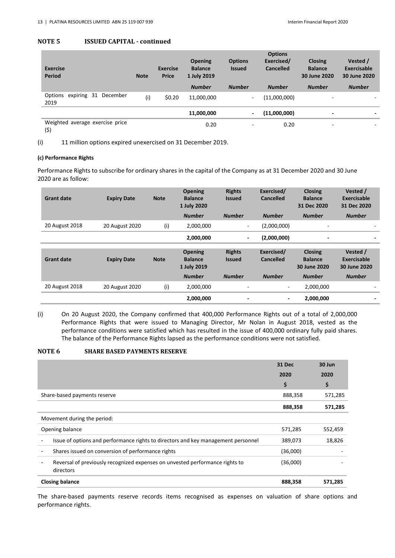#### **NOTE 5 ISSUED CAPITAL - continued**

| <b>Exercise</b><br><b>Period</b>        | <b>Note</b> | <b>Exercise</b><br><b>Price</b> | <b>Opening</b><br><b>Balance</b><br>1 July 2019<br><b>Number</b> | <b>Options</b><br><b>Issued</b><br><b>Number</b> | <b>Options</b><br>Exercised/<br>Cancelled<br><b>Number</b> | <b>Closing</b><br><b>Balance</b><br>30 June 2020<br><b>Number</b> | Vested /<br><b>Exercisable</b><br>30 June 2020<br><b>Number</b> |
|-----------------------------------------|-------------|---------------------------------|------------------------------------------------------------------|--------------------------------------------------|------------------------------------------------------------|-------------------------------------------------------------------|-----------------------------------------------------------------|
| expiring 31 December<br>Options<br>2019 | (i)         | \$0.20                          | 11,000,000                                                       | $\sim$                                           | (11,000,000)                                               | $\overline{\phantom{a}}$                                          |                                                                 |
|                                         |             |                                 | 11,000,000                                                       | $\overline{\phantom{a}}$                         | (11,000,000)                                               | ٠                                                                 |                                                                 |
| Weighted average exercise price<br>(5)  |             |                                 | 0.20                                                             | ۰                                                | 0.20                                                       | $\overline{\phantom{a}}$                                          |                                                                 |

(i) 11 million options expired unexercised on 31 December 2019.

#### **(c) Performance Rights**

Performance Rights to subscribe for ordinary shares in the capital of the Company as at 31 December 2020 and 30 June 2020 are as follow:

| <b>Grant date</b> | <b>Expiry Date</b> | <b>Note</b> | <b>Opening</b><br><b>Balance</b><br>1 July 2020 | <b>Rights</b><br><b>Issued</b> | Exercised/<br><b>Cancelled</b> | <b>Closing</b><br><b>Balance</b><br>31 Dec 2020  | Vested /<br><b>Exercisable</b><br>31 Dec 2020 |
|-------------------|--------------------|-------------|-------------------------------------------------|--------------------------------|--------------------------------|--------------------------------------------------|-----------------------------------------------|
|                   |                    |             | <b>Number</b>                                   | <b>Number</b>                  | <b>Number</b>                  | <b>Number</b>                                    | <b>Number</b>                                 |
| 20 August 2018    | 20 August 2020     | (i)         | 2,000,000                                       | $\sim$                         | (2,000,000)                    | $\sim$                                           |                                               |
|                   |                    |             | 2,000,000                                       | $\blacksquare$                 | (2,000,000)                    | ٠                                                |                                               |
|                   |                    |             |                                                 |                                |                                |                                                  |                                               |
|                   |                    |             |                                                 |                                |                                |                                                  |                                               |
| <b>Grant date</b> | <b>Expiry Date</b> | <b>Note</b> | <b>Opening</b><br><b>Balance</b><br>1 July 2019 | <b>Rights</b><br><b>Issued</b> | Exercised/<br><b>Cancelled</b> | <b>Closing</b><br><b>Balance</b><br>30 June 2020 | Vested /<br>Exercisable<br>30 June 2020       |
|                   |                    |             | <b>Number</b>                                   | <b>Number</b>                  | <b>Number</b>                  | <b>Number</b>                                    | <b>Number</b>                                 |
| 20 August 2018    | 20 August 2020     | (i)         | 2,000,000                                       |                                | ۰.                             | 2,000,000                                        |                                               |

(i) On 20 August 2020, the Company confirmed that 400,000 Performance Rights out of a total of 2,000,000 Performance Rights that were issued to Managing Director, Mr Nolan in August 2018, vested as the performance conditions were satisfied which has resulted in the issue of 400,000 ordinary fully paid shares. The balance of the Performance Rights lapsed as the performance conditions were not satisfied.

#### **NOTE 6 SHARE BASED PAYMENTS RESERVE**

|                                                                                           | 31 Dec   | 30 Jun  |
|-------------------------------------------------------------------------------------------|----------|---------|
|                                                                                           | 2020     | 2020    |
|                                                                                           | \$       | \$      |
| Share-based payments reserve                                                              | 888,358  | 571,285 |
|                                                                                           | 888,358  | 571,285 |
| Movement during the period:                                                               |          |         |
| Opening balance                                                                           | 571,285  | 552,459 |
| Issue of options and performance rights to directors and key management personnel         | 389,073  | 18,826  |
| Shares issued on conversion of performance rights                                         | (36,000) |         |
| Reversal of previously recognized expenses on unvested performance rights to<br>directors | (36,000) |         |
| <b>Closing balance</b>                                                                    | 888,358  | 571,285 |

The share-based payments reserve records items recognised as expenses on valuation of share options and performance rights.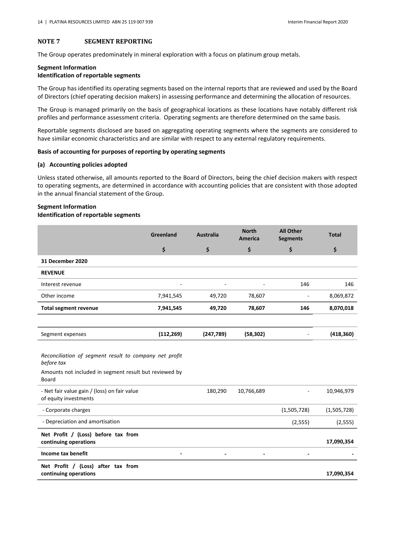#### **NOTE 7 SEGMENT REPORTING**

The Group operates predominately in mineral exploration with a focus on platinum group metals.

### **Segment Information Identification of reportable segments**

The Group has identified its operating segments based on the internal reports that are reviewed and used by the Board of Directors (chief operating decision makers) in assessing performance and determining the allocation of resources.

The Group is managed primarily on the basis of geographical locations as these locations have notably different risk profiles and performance assessment criteria. Operating segments are therefore determined on the same basis.

Reportable segments disclosed are based on aggregating operating segments where the segments are considered to have similar economic characteristics and are similar with respect to any external regulatory requirements.

#### **Basis of accounting for purposes of reporting by operating segments**

#### **(a) Accounting policies adopted**

Unless stated otherwise, all amounts reported to the Board of Directors, being the chief decision makers with respect to operating segments, are determined in accordance with accounting policies that are consistent with those adopted in the annual financial statement of the Group.

### **Segment Information**

#### **Identification of reportable segments**

|                                                                                                                                         | Greenland  | <b>Australia</b> | <b>North</b><br><b>America</b> | <b>All Other</b><br><b>Segments</b> | <b>Total</b> |
|-----------------------------------------------------------------------------------------------------------------------------------------|------------|------------------|--------------------------------|-------------------------------------|--------------|
|                                                                                                                                         | \$         | \$               | \$                             | \$                                  | \$           |
| <b>31 December 2020</b>                                                                                                                 |            |                  |                                |                                     |              |
| <b>REVENUE</b>                                                                                                                          |            |                  |                                |                                     |              |
| Interest revenue                                                                                                                        |            |                  |                                | 146                                 | 146          |
| Other income                                                                                                                            | 7,941,545  | 49,720           | 78,607                         | ä,                                  | 8,069,872    |
| <b>Total segment revenue</b>                                                                                                            | 7,941,545  | 49,720           | 78,607                         | 146                                 | 8,070,018    |
|                                                                                                                                         |            |                  |                                |                                     |              |
| Segment expenses                                                                                                                        | (112, 269) | (247, 789)       | (58, 302)                      | ÷                                   | (418, 360)   |
| Reconciliation of segment result to company net profit<br>before tax<br>Amounts not included in segment result but reviewed by<br>Board |            |                  |                                |                                     |              |
| - Net fair value gain / (loss) on fair value<br>of equity investments                                                                   |            | 180,290          | 10,766,689                     |                                     | 10,946,979   |
| - Corporate charges                                                                                                                     |            |                  |                                | (1,505,728)                         | (1,505,728)  |
| - Depreciation and amortisation                                                                                                         |            |                  |                                | (2, 555)                            | (2, 555)     |
| Net Profit / (Loss) before tax from<br>continuing operations                                                                            |            |                  |                                |                                     | 17,090,354   |
| <b>Income tax benefit</b>                                                                                                               |            |                  |                                |                                     |              |
| Net Profit / (Loss) after tax from<br>continuing operations                                                                             |            |                  |                                |                                     | 17,090,354   |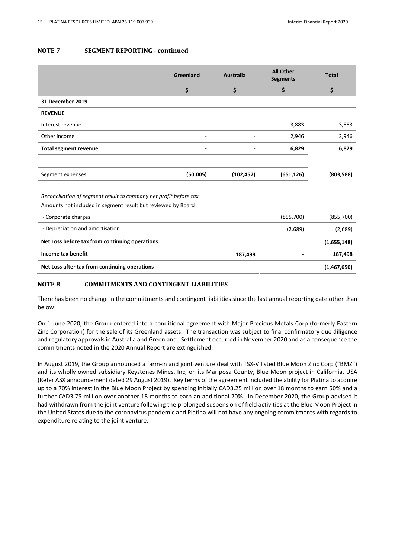#### **NOTE 7 SEGMENT REPORTING - continued**

|                                                                                                                                   | Greenland | <b>Australia</b> | <b>All Other</b><br><b>Segments</b> | <b>Total</b> |  |  |
|-----------------------------------------------------------------------------------------------------------------------------------|-----------|------------------|-------------------------------------|--------------|--|--|
|                                                                                                                                   | \$        | \$               | \$                                  | \$           |  |  |
| <b>31 December 2019</b>                                                                                                           |           |                  |                                     |              |  |  |
| <b>REVENUE</b>                                                                                                                    |           |                  |                                     |              |  |  |
| Interest revenue                                                                                                                  | ۰         |                  | 3,883                               | 3,883        |  |  |
| Other income                                                                                                                      | -         |                  | 2,946                               | 2,946        |  |  |
| <b>Total segment revenue</b>                                                                                                      |           |                  | 6,829                               | 6,829        |  |  |
|                                                                                                                                   |           |                  |                                     |              |  |  |
| Segment expenses                                                                                                                  | (50,005)  | (102, 457)       | (651, 126)                          | (803,588)    |  |  |
| Reconciliation of segment result to company net profit before tax<br>Amounts not included in segment result but reviewed by Board |           |                  |                                     |              |  |  |
| - Corporate charges                                                                                                               |           |                  | (855,700)                           | (855,700)    |  |  |
| - Depreciation and amortisation                                                                                                   |           |                  | (2,689)                             | (2,689)      |  |  |

**Net Loss after tax from continuing operations (1,467,650)** 

#### **NOTE 8 COMMITMENTS AND CONTINGENT LIABILITIES**

There has been no change in the commitments and contingent liabilities since the last annual reporting date other than below:

**Net Loss before tax from continuing operations (1,655,148) Income tax benefit 187,498** - 187,498 - 187,498 - 187,498 - 187,498 - 187,498 - 187,498 - 187,498 - 187,498 - 187,498 - 187,498 - 187,498 - 187,498 - 187,498 - 187,498 - 187,498 - 187,498 - 187,498 - 187,498 - 187,498 - 1

On 1 June 2020, the Group entered into a conditional agreement with Major Precious Metals Corp (formerly Eastern Zinc Corporation) for the sale of its Greenland assets. The transaction was subject to final confirmatory due diligence and regulatory approvals in Australia and Greenland. Settlement occurred in November 2020 and as a consequence the commitments noted in the 2020 Annual Report are extinguished.

In August 2019, the Group announced a farm-in and joint venture deal with TSX-V listed Blue Moon Zinc Corp ("BMZ") and its wholly owned subsidiary Keystones Mines, Inc, on its Mariposa County, Blue Moon project in California, USA (Refer ASX announcement dated 29 August 2019). Key terms of the agreement included the ability for Platina to acquire up to a 70% interest in the Blue Moon Project by spending initially CAD3.25 million over 18 months to earn 50% and a further CAD3.75 million over another 18 months to earn an additional 20%. In December 2020, the Group advised it had withdrawn from the joint venture following the prolonged suspension of field activities at the Blue Moon Project in the United States due to the coronavirus pandemic and Platina will not have any ongoing commitments with regards to expenditure relating to the joint venture.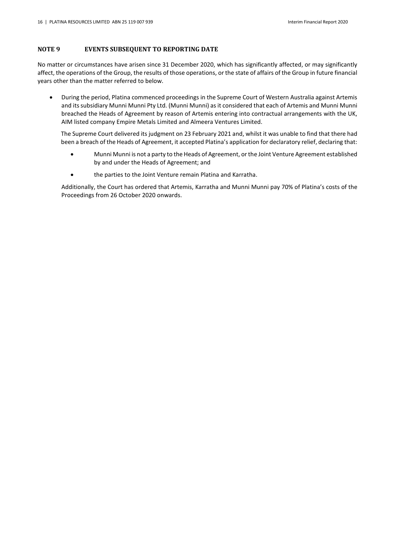### **NOTE 9 EVENTS SUBSEQUENT TO REPORTING DATE**

No matter or circumstances have arisen since 31 December 2020, which has significantly affected, or may significantly affect, the operations of the Group, the results of those operations, or the state of affairs of the Group in future financial years other than the matter referred to below.

 During the period, Platina commenced proceedings in the Supreme Court of Western Australia against Artemis and its subsidiary Munni Munni Pty Ltd. (Munni Munni) as it considered that each of Artemis and Munni Munni breached the Heads of Agreement by reason of Artemis entering into contractual arrangements with the UK, AIM listed company Empire Metals Limited and Almeera Ventures Limited.

The Supreme Court delivered its judgment on 23 February 2021 and, whilst it was unable to find that there had been a breach of the Heads of Agreement, it accepted Platina's application for declaratory relief, declaring that:

- Munni Munni is not a party to the Heads of Agreement, or the Joint Venture Agreement established by and under the Heads of Agreement; and
- the parties to the Joint Venture remain Platina and Karratha.

Additionally, the Court has ordered that Artemis, Karratha and Munni Munni pay 70% of Platina's costs of the Proceedings from 26 October 2020 onwards.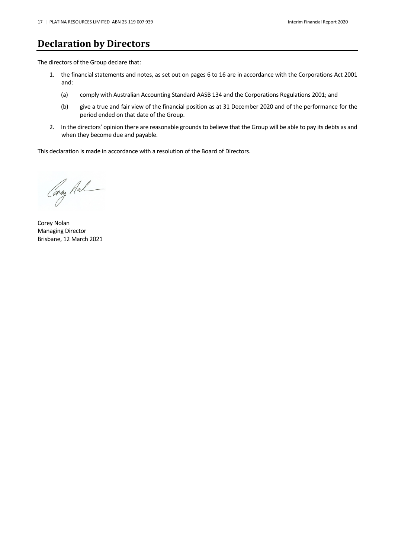### <span id="page-17-0"></span>**Declaration by Directors**

The directors of the Group declare that:

- 1. the financial statements and notes, as set out on pages 6 to 16 are in accordance with the Corporations Act 2001 and:
	- (a) comply with Australian Accounting Standard AASB 134 and the Corporations Regulations 2001; and
	- (b) give a true and fair view of the financial position as at 31 December 2020 and of the performance for the period ended on that date of the Group.
- 2. In the directors' opinion there are reasonable grounds to believe that the Group will be able to pay its debts as and when they become due and payable.

This declaration is made in accordance with a resolution of the Board of Directors.

Caray Mal

Corey Nolan Managing Director Brisbane, 12 March 2021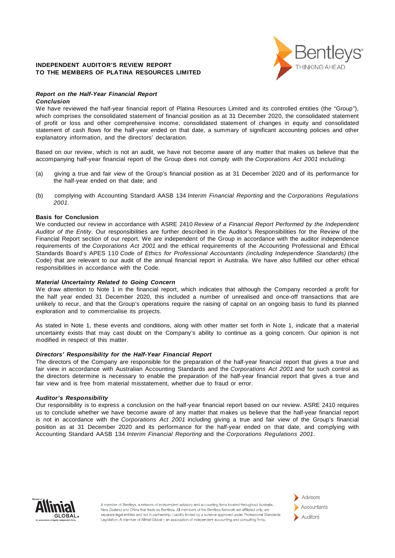#### **INDEPENDENT AUDITOR'S REVIEW REPORT TO THE MEMBERS OF PLATINA RESOURCES LIMITED**



#### *Report on the Half-Year Financial Report*

#### *Conclusion*

We have reviewed the half-year financial report of Platina Resources Limited and its controlled entities (the "Group"), which comprises the consolidated statement of financial position as at 31 December 2020, the consolidated statement of profit or loss and other comprehensive income, consolidated statement of changes in equity and consolidated statement of cash flows for the half-year ended on that date, a summary of significant accounting policies and other explanatory information, and the directors' declaration.

Based on our review, which is not an audit, we have not become aware of any matter that makes us believe that the accompanying half-year financial report of the Group does not comply with the *Corporations Act 2001* including:

- (a) giving a true and fair view of the Group's financial position as at 31 December 2020 and of its performance for the half-year ended on that date; and
- (b) complying with Accounting Standard AASB 134 *Interim Financial Reporting* and the *Corporations Regulations 2001*.

#### **Basis for Conclusion**

We conducted our review in accordance with ASRE 2410 *Review of a Financial Report Performed by the Independent Auditor of the Entity*. Our responsibilities are further described in the Auditor's Responsibilities for the Review of the Financial Report section of our report. We are independent of the Group in accordance with the auditor independence requirements of the *Corporations Act 2001* and the ethical requirements of the Accounting Professional and Ethical Standards Board's APES 110 *Code of Ethics for Professional Accountants (including Independence Standards)* (the Code) that are relevant to our audit of the annual financial report in Australia. We have also fulfilled our other ethical responsibilities in accordance with the Code.

#### *Material Uncertainty Related to Going Concern*

We draw attention to Note 1 in the financial report, which indicates that although the Company recorded a profit for the half year ended 31 December 2020, this included a number of unrealised and once-off transactions that are unlikely to recur, and that the Group's operations require the raising of capital on an ongoing basis to fund its planned exploration and to commercialise its projects.

As stated in Note 1, these events and conditions, along with other matter set forth in Note 1, indicate that a material uncertainty exists that may cast doubt on the Company's ability to continue as a going concern. Our opinion is not modified in respect of this matter.

#### *Directors' Responsibility for the Half-Year Financial Report*

The directors of the Company are responsible for the preparation of the half-year financial report that gives a true and fair view in accordance with Australian Accounting Standards and the *Corporations Act 2001* and for such control as the directors determine is necessary to enable the preparation of the half-year financial report that gives a true and fair view and is free from material misstatement, whether due to fraud or error.

#### *Auditor's Responsibility*

Our responsibility is to express a conclusion on the half-year financial report based on our review. ASRE 2410 requires us to conclude whether we have become aware of any matter that makes us believe that the half-year financial report is not in accordance with the *Corporations Act 2001* including giving a true and fair view of the Group's financial position as at 31 December 2020 and its performance for the half-year ended on that date, and complying with Accounting Standard AASB 134 *Interim Financial Reporting* and the *Corporations Regulations 2001*.



A member of Bentlevs, a network of independent advisory and accounting firms located throughout Australia. New Zealand and China that trade as Bentleys. All members of the Bentleys Network are affiliated only, are separate legal entities and not in partnership. Liability limited by a scheme approved under Professional Standards Legislation. A member of Allinial Global - an association of independent accounting and consulting firms.